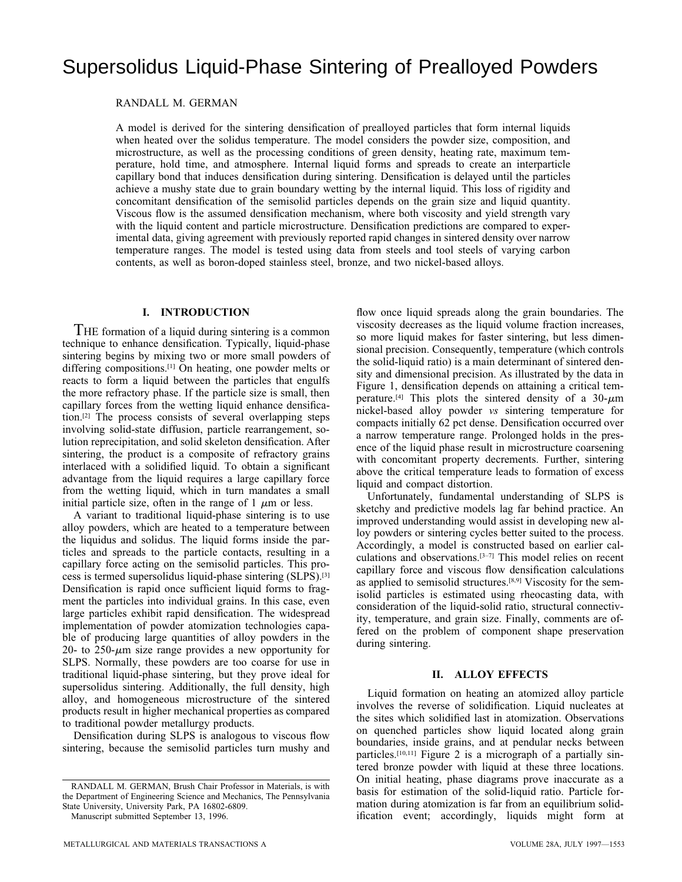# Supersolidus Liquid-Phase Sintering of Prealloyed Powders

RANDALL M. GERMAN

A model is derived for the sintering densification of prealloyed particles that form internal liquids when heated over the solidus temperature. The model considers the powder size, composition, and microstructure, as well as the processing conditions of green density, heating rate, maximum temperature, hold time, and atmosphere. Internal liquid forms and spreads to create an interparticle capillary bond that induces densification during sintering. Densification is delayed until the particles achieve a mushy state due to grain boundary wetting by the internal liquid. This loss of rigidity and concomitant densification of the semisolid particles depends on the grain size and liquid quantity. Viscous flow is the assumed densification mechanism, where both viscosity and yield strength vary with the liquid content and particle microstructure. Densification predictions are compared to experimental data, giving agreement with previously reported rapid changes in sintered density over narrow temperature ranges. The model is tested using data from steels and tool steels of varying carbon contents, as well as boron-doped stainless steel, bronze, and two nickel-based alloys.

# **I. INTRODUCTION**

THE formation of a liquid during sintering is a common technique to enhance densification. Typically, liquid-phase sintering begins by mixing two or more small powders of differing compositions.[1] On heating, one powder melts or reacts to form a liquid between the particles that engulfs the more refractory phase. If the particle size is small, then capillary forces from the wetting liquid enhance densification.[2] The process consists of several overlapping steps involving solid-state diffusion, particle rearrangement, solution reprecipitation, and solid skeleton densification. After sintering, the product is a composite of refractory grains interlaced with a solidified liquid. To obtain a significant advantage from the liquid requires a large capillary force from the wetting liquid, which in turn mandates a small initial particle size, often in the range of  $1 \mu m$  or less.

A variant to traditional liquid-phase sintering is to use alloy powders, which are heated to a temperature between the liquidus and solidus. The liquid forms inside the particles and spreads to the particle contacts, resulting in a capillary force acting on the semisolid particles. This process is termed supersolidus liquid-phase sintering (SLPS).[3] Densification is rapid once sufficient liquid forms to fragment the particles into individual grains. In this case, even large particles exhibit rapid densification. The widespread implementation of powder atomization technologies capable of producing large quantities of alloy powders in the 20- to 250- $\mu$ m size range provides a new opportunity for SLPS. Normally, these powders are too coarse for use in traditional liquid-phase sintering, but they prove ideal for supersolidus sintering. Additionally, the full density, high alloy, and homogeneous microstructure of the sintered products result in higher mechanical properties as compared to traditional powder metallurgy products.

Densification during SLPS is analogous to viscous flow sintering, because the semisolid particles turn mushy and

Manuscript submitted September 13, 1996.

flow once liquid spreads along the grain boundaries. The viscosity decreases as the liquid volume fraction increases, so more liquid makes for faster sintering, but less dimensional precision. Consequently, temperature (which controls the solid-liquid ratio) is a main determinant of sintered density and dimensional precision. As illustrated by the data in Figure 1, densification depends on attaining a critical temperature.<sup>[4]</sup> This plots the sintered density of a  $30-\mu m$ nickel-based alloy powder *vs* sintering temperature for compacts initially 62 pct dense. Densification occurred over a narrow temperature range. Prolonged holds in the presence of the liquid phase result in microstructure coarsening with concomitant property decrements. Further, sintering above the critical temperature leads to formation of excess liquid and compact distortion.

Unfortunately, fundamental understanding of SLPS is sketchy and predictive models lag far behind practice. An improved understanding would assist in developing new alloy powders or sintering cycles better suited to the process. Accordingly, a model is constructed based on earlier calculations and observations.[3–7] This model relies on recent capillary force and viscous flow densification calculations as applied to semisolid structures.<sup>[8,9]</sup> Viscosity for the semisolid particles is estimated using rheocasting data, with consideration of the liquid-solid ratio, structural connectivity, temperature, and grain size. Finally, comments are offered on the problem of component shape preservation during sintering.

# **II. ALLOY EFFECTS**

Liquid formation on heating an atomized alloy particle involves the reverse of solidification. Liquid nucleates at the sites which solidified last in atomization. Observations on quenched particles show liquid located along grain boundaries, inside grains, and at pendular necks between particles.[10,11] Figure 2 is a micrograph of a partially sintered bronze powder with liquid at these three locations. On initial heating, phase diagrams prove inaccurate as a basis for estimation of the solid-liquid ratio. Particle formation during atomization is far from an equilibrium solidification event; accordingly, liquids might form at

RANDALL M. GERMAN, Brush Chair Professor in Materials, is with the Department of Engineering Science and Mechanics, The Pennsylvania State University, University Park, PA 16802-6809.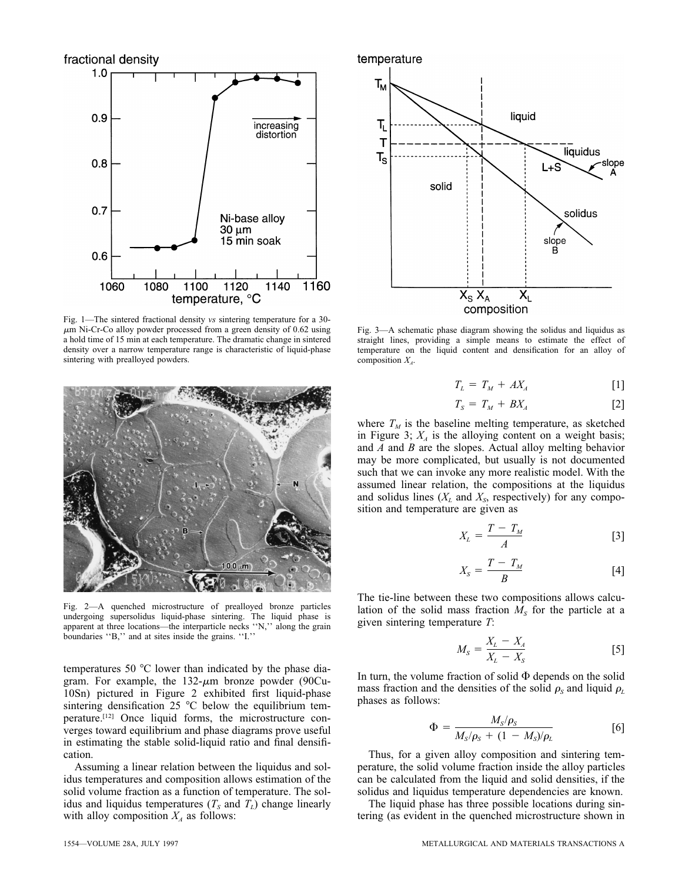

Fig. 1—The sintered fractional density *vs* sintering temperature for a 30-  $\mu$ m Ni-Cr-Co alloy powder processed from a green density of 0.62 using a hold time of 15 min at each temperature. The dramatic change in sintered density over a narrow temperature range is characteristic of liquid-phase sintering with prealloyed powders.



Fig. 2—A quenched microstructure of prealloyed bronze particles undergoing supersolidus liquid-phase sintering. The liquid phase is apparent at three locations—the interparticle necks ''N,'' along the grain boundaries ''B,'' and at sites inside the grains. ''I.''

temperatures 50 °C lower than indicated by the phase diagram. For example, the  $132-\mu m$  bronze powder (90Cu-10Sn) pictured in Figure 2 exhibited first liquid-phase sintering densification 25  $\degree$ C below the equilibrium temperature.[12] Once liquid forms, the microstructure converges toward equilibrium and phase diagrams prove useful in estimating the stable solid-liquid ratio and final densification.

Assuming a linear relation between the liquidus and solidus temperatures and composition allows estimation of the solid volume fraction as a function of temperature. The solidus and liquidus temperatures  $(T<sub>S</sub>$  and  $T<sub>L</sub>)$  change linearly with alloy composition  $X_A$  as follows:



Fig. 3—A schematic phase diagram showing the solidus and liquidus as straight lines, providing a simple means to estimate the effect of temperature on the liquid content and densification for an alloy of composition  $X_A$ .

$$
T_L = T_M + AX_A \tag{1}
$$

$$
T_S = T_M + BX_A \tag{2}
$$

where  $T_M$  is the baseline melting temperature, as sketched in Figure 3;  $X_A$  is the alloying content on a weight basis; and *A* and *B* are the slopes. Actual alloy melting behavior may be more complicated, but usually is not documented such that we can invoke any more realistic model. With the assumed linear relation, the compositions at the liquidus and solidus lines  $(X_L$  and  $X_S$ , respectively) for any composition and temperature are given as

$$
X_L = \frac{T - T_M}{A} \tag{3}
$$

$$
X_{S} = \frac{T - T_{M}}{B} \tag{4}
$$

The tie-line between these two compositions allows calculation of the solid mass fraction  $M<sub>s</sub>$  for the particle at a given sintering temperature *T*:

$$
M_s = \frac{X_L - X_A}{X_L - X_S} \tag{5}
$$

In turn, the volume fraction of solid  $\Phi$  depends on the solid mass fraction and the densities of the solid  $\rho_s$  and liquid  $\rho_l$ phases as follows:

$$
\Phi = \frac{M_S/\rho_S}{M_S/\rho_S + (1 - M_S)/\rho_L} \tag{6}
$$

Thus, for a given alloy composition and sintering temperature, the solid volume fraction inside the alloy particles can be calculated from the liquid and solid densities, if the solidus and liquidus temperature dependencies are known.

The liquid phase has three possible locations during sintering (as evident in the quenched microstructure shown in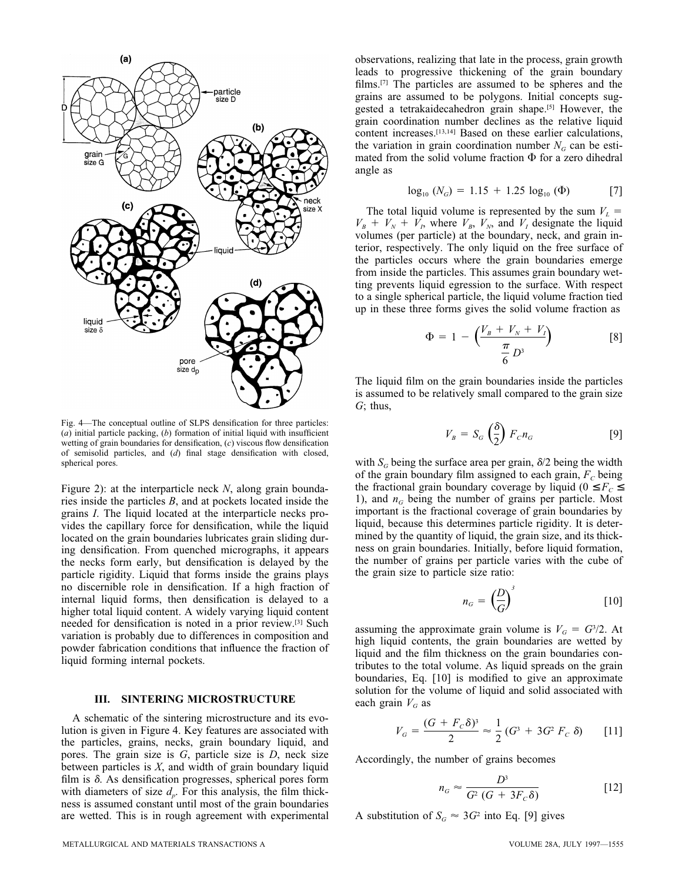

Fig. 4—The conceptual outline of SLPS densification for three particles: (*a*) initial particle packing, (*b*) formation of initial liquid with insufficient wetting of grain boundaries for densification, (*c*) viscous flow densification of semisolid particles, and (*d*) final stage densification with closed, spherical pores.

Figure 2): at the interparticle neck *N*, along grain boundaries inside the particles *B*, and at pockets located inside the grains *I*. The liquid located at the interparticle necks provides the capillary force for densification, while the liquid located on the grain boundaries lubricates grain sliding during densification. From quenched micrographs, it appears the necks form early, but densification is delayed by the particle rigidity. Liquid that forms inside the grains plays no discernible role in densification. If a high fraction of internal liquid forms, then densification is delayed to a higher total liquid content. A widely varying liquid content needed for densification is noted in a prior review.[3] Such variation is probably due to differences in composition and powder fabrication conditions that influence the fraction of liquid forming internal pockets.

#### **III. SINTERING MICROSTRUCTURE**

A schematic of the sintering microstructure and its evolution is given in Figure 4. Key features are associated with the particles, grains, necks, grain boundary liquid, and pores. The grain size is *G*, particle size is *D*, neck size between particles is *X*, and width of grain boundary liquid film is  $\delta$ . As densification progresses, spherical pores form with diameters of size  $d_p$ . For this analysis, the film thickness is assumed constant until most of the grain boundaries are wetted. This is in rough agreement with experimental observations, realizing that late in the process, grain growth leads to progressive thickening of the grain boundary films.[7] The particles are assumed to be spheres and the grains are assumed to be polygons. Initial concepts suggested a tetrakaidecahedron grain shape.<sup>[5]</sup> However, the grain coordination number declines as the relative liquid content increases.[13,14] Based on these earlier calculations, the variation in grain coordination number  $N<sub>G</sub>$  can be estimated from the solid volume fraction  $\Phi$  for a zero dihedral angle as

$$
\log_{10} (N_G) = 1.15 + 1.25 \log_{10} (\Phi)
$$
 [7]

The total liquid volume is represented by the sum  $V<sub>L</sub>$  =  $V_B + V_N + V_I$ , where  $V_B$ ,  $V_N$ , and  $V_I$  designate the liquid volumes (per particle) at the boundary, neck, and grain interior, respectively. The only liquid on the free surface of the particles occurs where the grain boundaries emerge from inside the particles. This assumes grain boundary wetting prevents liquid egression to the surface. With respect to a single spherical particle, the liquid volume fraction tied up in these three forms gives the solid volume fraction as

$$
\Phi = 1 - \left(\frac{V_B + V_N + V_I}{\frac{\pi}{6} D^3}\right) \tag{8}
$$

The liquid film on the grain boundaries inside the particles is assumed to be relatively small compared to the grain size *G*; thus,

$$
V_B = S_G \left(\frac{\delta}{2}\right) F_C n_G \tag{9}
$$

with  $S_G$  being the surface area per grain,  $\delta/2$  being the width of the grain boundary film assigned to each grain,  $F_c$  being the fractional grain boundary coverage by liquid ( $0 \leq F_c \leq$ 1), and  $n_G$  being the number of grains per particle. Most important is the fractional coverage of grain boundaries by liquid, because this determines particle rigidity. It is determined by the quantity of liquid, the grain size, and its thickness on grain boundaries. Initially, before liquid formation, the number of grains per particle varies with the cube of the grain size to particle size ratio:

$$
n_G = \left(\frac{D}{G}\right)^3 \tag{10}
$$

assuming the approximate grain volume is  $V_G = G^3/2$ . At high liquid contents, the grain boundaries are wetted by liquid and the film thickness on the grain boundaries contributes to the total volume. As liquid spreads on the grain boundaries, Eq. [10] is modified to give an approximate solution for the volume of liquid and solid associated with each grain  $V_G$  as

$$
V_G = \frac{(G + F_c \delta)^3}{2} \approx \frac{1}{2} (G^3 + 3G^2 F_c \delta)
$$
 [11]

Accordingly, the number of grains becomes

$$
n_G \approx \frac{D^3}{G^2 \left(G + 3F_c \delta\right)}\tag{12}
$$

A substitution of  $S_G \approx 3G^2$  into Eq. [9] gives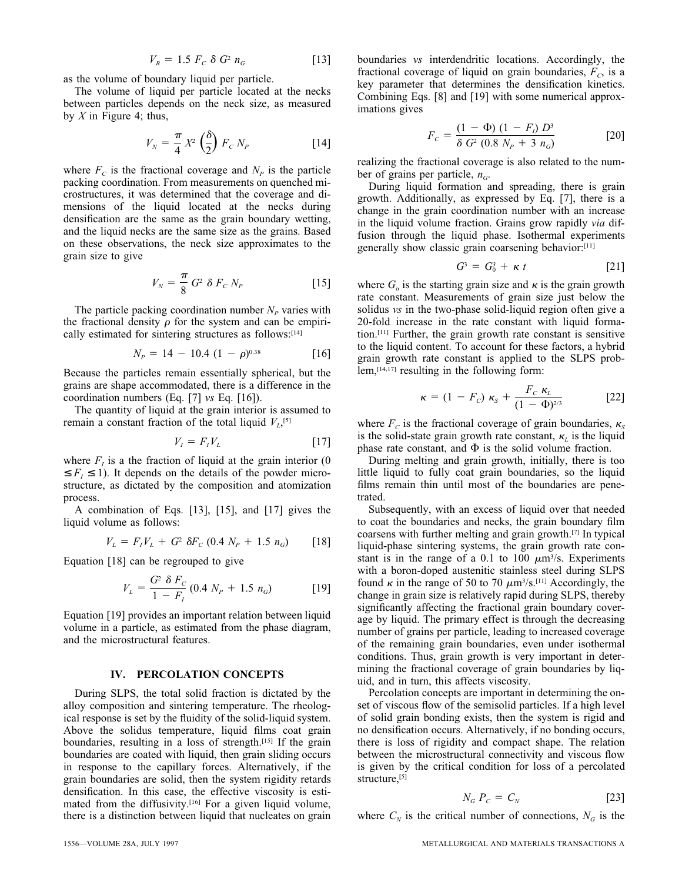$$
V_B = 1.5 F_c \delta G^2 n_G \qquad [13]
$$

as the volume of boundary liquid per particle.

The volume of liquid per particle located at the necks between particles depends on the neck size, as measured by *X* in Figure 4; thus,

$$
V_N = \frac{\pi}{4} X^2 \left(\frac{\delta}{2}\right) F_C N_P \tag{14}
$$

where  $F_c$  is the fractional coverage and  $N_p$  is the particle packing coordination. From measurements on quenched microstructures, it was determined that the coverage and dimensions of the liquid located at the necks during densification are the same as the grain boundary wetting, and the liquid necks are the same size as the grains. Based on these observations, the neck size approximates to the grain size to give

$$
V_N = \frac{\pi}{8} G^2 \delta F_C N_P
$$
 [15]

The particle packing coordination number  $N_P$  varies with the fractional density  $\rho$  for the system and can be empirically estimated for sintering structures as follows:<sup>[14]</sup>

$$
N_P = 14 - 10.4 (1 - \rho)^{0.38}
$$
 [16]

Because the particles remain essentially spherical, but the grains are shape accommodated, there is a difference in the coordination numbers (Eq. [7] *vs* Eq. [16]).

The quantity of liquid at the grain interior is assumed to remain a constant fraction of the total liquid  $V_L$ <sup>[5]</sup>

$$
V_I = F_I V_L \tag{17}
$$

where  $F<sub>I</sub>$  is a the fraction of liquid at the grain interior (0)  $\leq F_i \leq 1$ ). It depends on the details of the powder microstructure, as dictated by the composition and atomization process.

A combination of Eqs. [13], [15], and [17] gives the liquid volume as follows:

$$
V_L = F_I V_L + G^2 \delta F_C (0.4 N_P + 1.5 n_G)
$$
 [18]

Equation [18] can be regrouped to give

$$
V_L = \frac{G^2 \ \delta \ F_C}{1 - F_I} \ (0.4 \ N_P + 1.5 \ n_G) \tag{19}
$$

Equation [19] provides an important relation between liquid volume in a particle, as estimated from the phase diagram, and the microstructural features.

# **IV. PERCOLATION CONCEPTS**

During SLPS, the total solid fraction is dictated by the alloy composition and sintering temperature. The rheological response is set by the fluidity of the solid-liquid system. Above the solidus temperature, liquid films coat grain boundaries, resulting in a loss of strength.<sup>[15]</sup> If the grain boundaries are coated with liquid, then grain sliding occurs in response to the capillary forces. Alternatively, if the grain boundaries are solid, then the system rigidity retards densification. In this case, the effective viscosity is estimated from the diffusivity. $[16]$  For a given liquid volume, there is a distinction between liquid that nucleates on grain boundaries *vs* interdendritic locations. Accordingly, the fractional coverage of liquid on grain boundaries,  $F_C$  is a key parameter that determines the densification kinetics. Combining Eqs. [8] and [19] with some numerical approximations gives

$$
F_C = \frac{(1 - \Phi) (1 - F_i) D^3}{\delta G^2 (0.8 N_p + 3 n_G)}
$$
 [20]

realizing the fractional coverage is also related to the number of grains per particle,  $n_G$ .

During liquid formation and spreading, there is grain growth. Additionally, as expressed by Eq. [7], there is a change in the grain coordination number with an increase in the liquid volume fraction. Grains grow rapidly *via* diffusion through the liquid phase. Isothermal experiments generally show classic grain coarsening behavior:[11]

$$
G^3 = G_0^3 + \kappa t \qquad [21]
$$

where  $G_0$  is the starting grain size and  $\kappa$  is the grain growth rate constant. Measurements of grain size just below the solidus *vs* in the two-phase solid-liquid region often give a 20-fold increase in the rate constant with liquid formation.[11] Further, the grain growth rate constant is sensitive to the liquid content. To account for these factors, a hybrid grain growth rate constant is applied to the SLPS problem,[14,17] resulting in the following form:

$$
\kappa = (1 - F_c) \kappa_s + \frac{F_c \kappa_L}{(1 - \Phi)^{2/3}} \tag{22}
$$

where  $F_c$  is the fractional coverage of grain boundaries,  $\kappa_s$ is the solid-state grain growth rate constant,  $\kappa$ <sub>L</sub> is the liquid phase rate constant, and  $\Phi$  is the solid volume fraction.

During melting and grain growth, initially, there is too little liquid to fully coat grain boundaries, so the liquid films remain thin until most of the boundaries are penetrated.

Subsequently, with an excess of liquid over that needed to coat the boundaries and necks, the grain boundary film coarsens with further melting and grain growth.[7] In typical liquid-phase sintering systems, the grain growth rate constant is in the range of a 0.1 to 100  $\mu$ m<sup>3</sup>/s. Experiments with a boron-doped austenitic stainless steel during SLPS found  $\kappa$  in the range of 50 to 70  $\mu$ m<sup>3</sup>/s.<sup>[11]</sup> Accordingly, the change in grain size is relatively rapid during SLPS, thereby significantly affecting the fractional grain boundary coverage by liquid. The primary effect is through the decreasing number of grains per particle, leading to increased coverage of the remaining grain boundaries, even under isothermal conditions. Thus, grain growth is very important in determining the fractional coverage of grain boundaries by liquid, and in turn, this affects viscosity.

Percolation concepts are important in determining the onset of viscous flow of the semisolid particles. If a high level of solid grain bonding exists, then the system is rigid and no densification occurs. Alternatively, if no bonding occurs, there is loss of rigidity and compact shape. The relation between the microstructural connectivity and viscous flow is given by the critical condition for loss of a percolated structure,<sup>[5]</sup>

$$
N_G P_C = C_N \tag{23}
$$

where  $C_N$  is the critical number of connections,  $N_G$  is the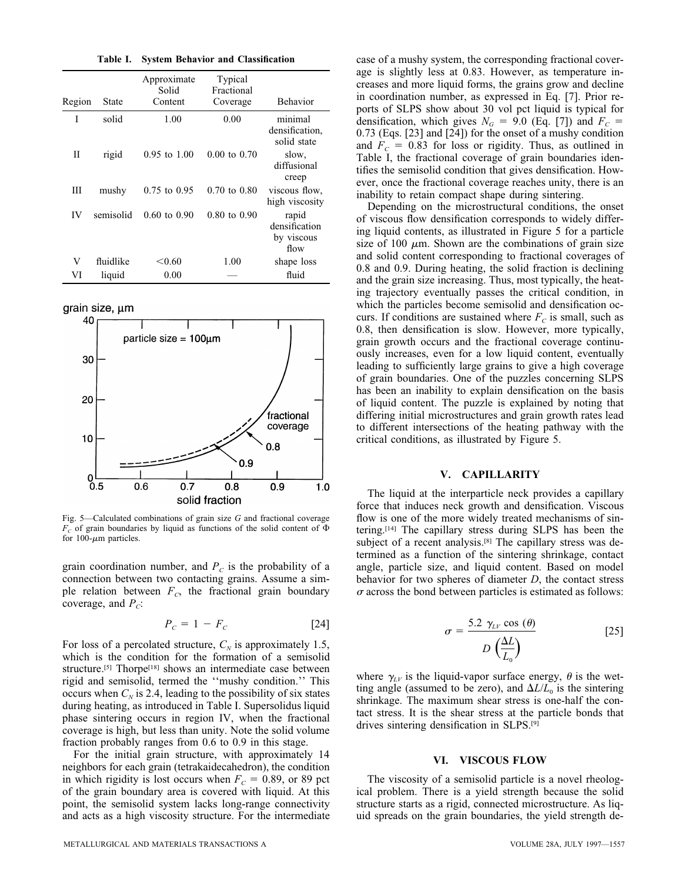**Table I. System Behavior and Classification**

| Region | State     | Approximate<br>Solid<br>Content | Typical<br>Fractional<br>Coverage | <b>Behavior</b>                              |
|--------|-----------|---------------------------------|-----------------------------------|----------------------------------------------|
| T      | solid     | 1.00                            | 0.00                              | minimal<br>densification,<br>solid state     |
| Н      | rigid     | $0.95$ to $1.00$                | $0.00 \text{ to } 0.70$           | slow,<br>diffusional<br>creep                |
| Ш      | mushy     | $0.75$ to $0.95$                | $0.70 \text{ to } 0.80$           | viscous flow,<br>high viscosity              |
| IV     | semisolid | $0.60 \text{ to } 0.90$         | $0.80 \text{ to } 0.90$           | rapid<br>densification<br>by viscous<br>flow |
| V      | fluidlike | < 0.60                          | 1.00                              | shape loss                                   |
| VI     | liquid    | 0.00                            |                                   | fluid                                        |

grain size, um



Fig. 5—Calculated combinations of grain size *G* and fractional coverage  $F<sub>C</sub>$  of grain boundaries by liquid as functions of the solid content of  $\Phi$ for 100- $\mu$ m particles.

grain coordination number, and  $P_c$  is the probability of a connection between two contacting grains. Assume a simple relation between  $F_C$ , the fractional grain boundary coverage, and  $P_C$ :

$$
P_c = 1 - F_c \tag{24}
$$

For loss of a percolated structure,  $C_N$  is approximately 1.5, which is the condition for the formation of a semisolid structure.<sup>[5]</sup> Thorpe<sup>[18]</sup> shows an intermediate case between rigid and semisolid, termed the ''mushy condition.'' This occurs when  $C_N$  is 2.4, leading to the possibility of six states during heating, as introduced in Table I. Supersolidus liquid phase sintering occurs in region IV, when the fractional coverage is high, but less than unity. Note the solid volume fraction probably ranges from 0.6 to 0.9 in this stage.

For the initial grain structure, with approximately 14 neighbors for each grain (tetrakaidecahedron), the condition in which rigidity is lost occurs when  $F_c = 0.89$ , or 89 pct of the grain boundary area is covered with liquid. At this point, the semisolid system lacks long-range connectivity and acts as a high viscosity structure. For the intermediate case of a mushy system, the corresponding fractional coverage is slightly less at 0.83. However, as temperature increases and more liquid forms, the grains grow and decline in coordination number, as expressed in Eq. [7]. Prior reports of SLPS show about 30 vol pct liquid is typical for densification, which gives  $N_G = 9.0$  (Eq. [7]) and  $F_C =$ 0.73 (Eqs. [23] and [24]) for the onset of a mushy condition and  $F_c = 0.83$  for loss or rigidity. Thus, as outlined in Table I, the fractional coverage of grain boundaries identifies the semisolid condition that gives densification. However, once the fractional coverage reaches unity, there is an inability to retain compact shape during sintering.

Depending on the microstructural conditions, the onset of viscous flow densification corresponds to widely differing liquid contents, as illustrated in Figure 5 for a particle size of 100  $\mu$ m. Shown are the combinations of grain size and solid content corresponding to fractional coverages of 0.8 and 0.9. During heating, the solid fraction is declining and the grain size increasing. Thus, most typically, the heating trajectory eventually passes the critical condition, in which the particles become semisolid and densification occurs. If conditions are sustained where  $F<sub>C</sub>$  is small, such as 0.8, then densification is slow. However, more typically, grain growth occurs and the fractional coverage continuously increases, even for a low liquid content, eventually leading to sufficiently large grains to give a high coverage of grain boundaries. One of the puzzles concerning SLPS has been an inability to explain densification on the basis of liquid content. The puzzle is explained by noting that differing initial microstructures and grain growth rates lead to different intersections of the heating pathway with the critical conditions, as illustrated by Figure 5.

### **V. CAPILLARITY**

The liquid at the interparticle neck provides a capillary force that induces neck growth and densification. Viscous flow is one of the more widely treated mechanisms of sintering.[14] The capillary stress during SLPS has been the subject of a recent analysis.<sup>[8]</sup> The capillary stress was determined as a function of the sintering shrinkage, contact angle, particle size, and liquid content. Based on model behavior for two spheres of diameter *D*, the contact stress  $\sigma$  across the bond between particles is estimated as follows:

$$
\sigma = \frac{5.2 \ \gamma_{LV} \cos (\theta)}{D \left(\frac{\Delta L}{L_0}\right)} \tag{25}
$$

where  $\gamma_{LV}$  is the liquid-vapor surface energy,  $\theta$  is the wetting angle (assumed to be zero), and  $\Delta L/L_0$  is the sintering shrinkage. The maximum shear stress is one-half the contact stress. It is the shear stress at the particle bonds that drives sintering densification in SLPS.[9]

#### **VI. VISCOUS FLOW**

The viscosity of a semisolid particle is a novel rheological problem. There is a yield strength because the solid structure starts as a rigid, connected microstructure. As liquid spreads on the grain boundaries, the yield strength de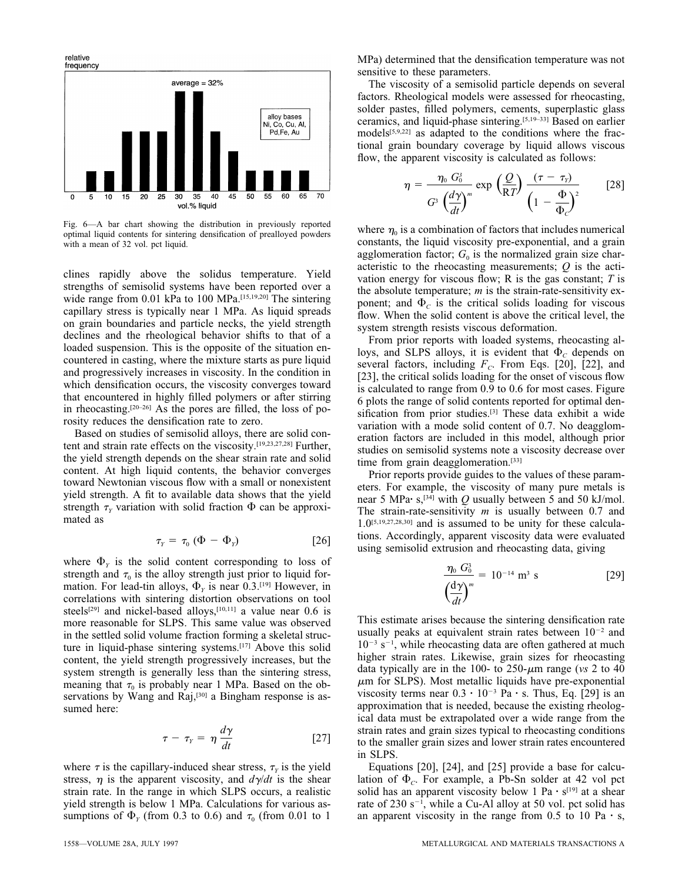relative<br>frequency



Fig. 6—A bar chart showing the distribution in previously reported optimal liquid contents for sintering densification of prealloyed powders with a mean of 32 vol. pct liquid.

clines rapidly above the solidus temperature. Yield strengths of semisolid systems have been reported over a wide range from 0.01 kPa to 100 MPa.[15,19,20] The sintering capillary stress is typically near 1 MPa. As liquid spreads on grain boundaries and particle necks, the yield strength declines and the rheological behavior shifts to that of a loaded suspension. This is the opposite of the situation encountered in casting, where the mixture starts as pure liquid and progressively increases in viscosity. In the condition in which densification occurs, the viscosity converges toward that encountered in highly filled polymers or after stirring in rheocasting.[20–26] As the pores are filled, the loss of porosity reduces the densification rate to zero.

Based on studies of semisolid alloys, there are solid content and strain rate effects on the viscosity.[19,23,27,28] Further, the yield strength depends on the shear strain rate and solid content. At high liquid contents, the behavior converges toward Newtonian viscous flow with a small or nonexistent yield strength. A fit to available data shows that the yield strength  $\tau$ <sup>*y*</sup> variation with solid fraction  $\Phi$  can be approximated as

$$
\tau_{Y} = \tau_{0} \left( \Phi - \Phi_{Y} \right) \tag{26}
$$

where  $\Phi$ <sub>*Y*</sub> is the solid content corresponding to loss of strength and  $\tau_0$  is the alloy strength just prior to liquid formation. For lead-tin alloys,  $\Phi$ <sub>*Y*</sub> is near 0.3.<sup>[19]</sup> However, in correlations with sintering distortion observations on tool steels<sup>[29]</sup> and nickel-based alloys,<sup>[10,11]</sup> a value near 0.6 is more reasonable for SLPS. This same value was observed in the settled solid volume fraction forming a skeletal structure in liquid-phase sintering systems.<sup>[17]</sup> Above this solid content, the yield strength progressively increases, but the system strength is generally less than the sintering stress, meaning that  $\tau_0$  is probably near 1 MPa. Based on the observations by Wang and Raj,<sup>[30]</sup> a Bingham response is assumed here:

$$
\tau - \tau_{Y} = \eta \frac{d\gamma}{dt} \tag{27}
$$

where  $\tau$  is the capillary-induced shear stress,  $\tau$ <sub>*Y*</sub> is the yield stress,  $\eta$  is the apparent viscosity, and  $d\gamma/dt$  is the shear strain rate. In the range in which SLPS occurs, a realistic yield strength is below 1 MPa. Calculations for various assumptions of  $\Phi$ <sub>*Y*</sub> (from 0.3 to 0.6) and  $\tau$ <sub>0</sub> (from 0.01 to 1 MPa) determined that the densification temperature was not sensitive to these parameters.

The viscosity of a semisolid particle depends on several factors. Rheological models were assessed for rheocasting, solder pastes, filled polymers, cements, superplastic glass ceramics, and liquid-phase sintering.[5,19–33] Based on earlier models[5,9,22] as adapted to the conditions where the fractional grain boundary coverage by liquid allows viscous flow, the apparent viscosity is calculated as follows:

$$
\eta = \frac{\eta_0 G_0^3}{G^3 \left(\frac{d\gamma}{dt}\right)^m} \exp\left(\frac{Q}{RT}\right) \frac{(\tau - \tau_y)}{\left(1 - \frac{\Phi}{\Phi_c}\right)^2} \qquad [28]
$$

where  $\eta_0$  is a combination of factors that includes numerical constants, the liquid viscosity pre-exponential, and a grain agglomeration factor;  $G_0$  is the normalized grain size characteristic to the rheocasting measurements; *Q* is the activation energy for viscous flow; R is the gas constant; *T* is the absolute temperature; *m* is the strain-rate-sensitivity exponent; and  $\Phi_c$  is the critical solids loading for viscous flow. When the solid content is above the critical level, the system strength resists viscous deformation.

From prior reports with loaded systems, rheocasting alloys, and SLPS alloys, it is evident that  $\Phi_c$  depends on several factors, including  $F_C$ . From Eqs. [20], [22], and [23], the critical solids loading for the onset of viscous flow is calculated to range from 0.9 to 0.6 for most cases. Figure 6 plots the range of solid contents reported for optimal densification from prior studies.<sup>[3]</sup> These data exhibit a wide variation with a mode solid content of 0.7. No deagglomeration factors are included in this model, although prior studies on semisolid systems note a viscosity decrease over time from grain deagglomeration.<sup>[33]</sup>

Prior reports provide guides to the values of these parameters. For example, the viscosity of many pure metals is near 5 MPa·  $s^{34}$  with *Q* usually between 5 and 50 kJ/mol. The strain-rate-sensitivity *m* is usually between 0.7 and 1.0[5,19,27,28,30] and is assumed to be unity for these calculations. Accordingly, apparent viscosity data were evaluated using semisolid extrusion and rheocasting data, giving

$$
\frac{\eta_0 G_0^3}{\left(\frac{d\gamma}{dt}\right)^m} = 10^{-14} \text{ m}^3 \text{ s}
$$
 [29]

This estimate arises because the sintering densification rate usually peaks at equivalent strain rates between  $10^{-2}$  and  $10^{-3}$  s<sup>-1</sup>, while rheocasting data are often gathered at much higher strain rates. Likewise, grain sizes for rheocasting data typically are in the 100- to  $250$ - $\mu$ m range (*vs* 2 to 40  $\mu$ m for SLPS). Most metallic liquids have pre-exponential viscosity terms near  $0.3 \cdot 10^{-3}$  Pa  $\cdot$  s. Thus, Eq. [29] is an approximation that is needed, because the existing rheological data must be extrapolated over a wide range from the strain rates and grain sizes typical to rheocasting conditions to the smaller grain sizes and lower strain rates encountered in SLPS.

Equations [20], [24], and [25] provide a base for calculation of  $\Phi_C$ . For example, a Pb-Sn solder at 42 vol pct solid has an apparent viscosity below 1 Pa  $\cdot$  s<sup>[19]</sup> at a shear rate of  $230 s^{-1}$ , while a Cu-Al alloy at 50 vol. pct solid has an apparent viscosity in the range from 0.5 to 10 Pa  $\cdot$  s,